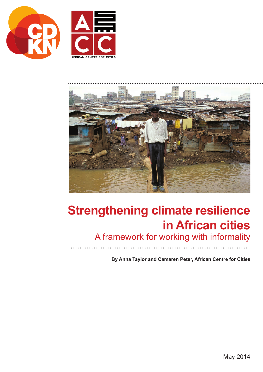





# **Strengthening climate resilience in African cities**

A framework for working with informality

**By Anna Taylor and Camaren Peter, African Centre for Cities**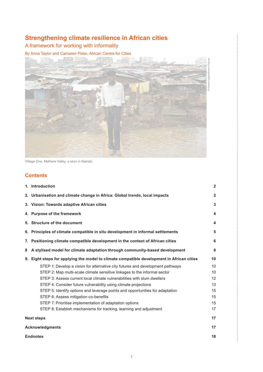## **Strengthening climate resilience in African cities**

## A framework for working with informality

By Anna Taylor and Camaren Peter, African Centre for Cities



Village One, Mathare Valley, a slum in Nairobi.

## **Contents**

|    | 1. Introduction                                                                           | $\overline{2}$  |  |  |  |
|----|-------------------------------------------------------------------------------------------|-----------------|--|--|--|
|    | 2. Urbanisation and climate change in Africa: Global trends, local impacts                | $\overline{2}$  |  |  |  |
|    | 3. Vision: Towards adaptive African cities                                                | $\mathbf{3}$    |  |  |  |
|    | 4. Purpose of the framework                                                               | 4               |  |  |  |
|    | 5. Structure of the document                                                              | 4               |  |  |  |
|    | 6. Principles of climate compatible in situ development in informal settlements           | 5               |  |  |  |
| 7. | Positioning climate compatible development in the context of African cities               | 6               |  |  |  |
| 8  | A stylised model for climate adaptation through community-based development               | 8               |  |  |  |
|    | 9. Eight steps for applying the model to climate compatible development in African cities | 10              |  |  |  |
|    | STEP 1: Develop a vision for alternative city futures and development pathways            | 10              |  |  |  |
|    | STEP 2: Map multi-scale climate sensitive linkages to the informal sector                 | 10 <sup>°</sup> |  |  |  |
|    | STEP 3: Assess current local climate vulnerabilities with slum dwellers                   | 12              |  |  |  |
|    | STEP 4: Consider future vulnerability using climate projections                           | 13              |  |  |  |
|    | STEP 5: Identify options and leverage points and opportunities for adaptation             | 15              |  |  |  |
|    | STEP 6: Assess mitigation co-benefits                                                     | 15              |  |  |  |
|    | STEP 7: Prioritise implementation of adaptation options                                   | 15              |  |  |  |
|    | STEP 8: Establish mechanisms for tracking, learning and adjustment                        | 17              |  |  |  |
|    | <b>Next steps</b>                                                                         | 17              |  |  |  |
|    | <b>Acknowledgments</b>                                                                    |                 |  |  |  |
|    | <b>Endnotes</b>                                                                           | 18              |  |  |  |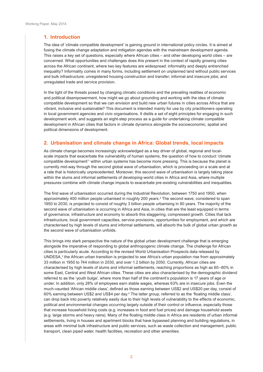<span id="page-3-0"></span> $\frac{1}{2}$ 

 $\ddot{\cdot}$ 

## **1. Introduction**

The idea of 'climate compatible development' is gaining ground in international policy circles. It is aimed at fusing the climate change adaptation and mitigation agendas with the mainstream development agenda. This raises a key set of questions, especially where African cities – and other developing world cities – are concerned. What opportunities and challenges does this present in the context of rapidly growing cities across the African continent, where two key features are widespread: informality and deeply entrenched inequality? Informality comes in many forms, including settlement on unplanned land without public services and bulk infrastructure; unregistered housing construction and transfer; informal and insecure jobs; and unregulated trade and service provision.

In the light of the threats posed by changing climatic conditions and the prevailing realities of economic and political disempowerment, how might we go about grounding and working with the idea of climate compatible development so that we can envision and build new urban futures in cities across Africa that are vibrant, inclusive and sustainable? This document is intended mainly for use by city practitioners operating in local government agencies and civic organisations. It distils a set of eight principles for engaging in such development work, and suggests an eight-step process as a guide for undertaking climate compatible development in African cities that factors in climate dynamics alongside the socioeconomic, spatial and political dimensions of development.

## **2. Urbanisation and climate change in Africa: Global trends, local impacts**

As climate change becomes increasingly acknowledged as a key driver of global, regional and localscale impacts that exacerbate the vulnerability of human systems, the question of how to conduct 'climate compatible development<sup>1</sup> within urban systems has become more pressing. This is because the planet is currently mid-way through the second global wave of urbanisation, which is proceeding on a scale and at a rate that is historically unprecedented. Moreover, this second wave of urbanisation is largely taking place within the slums and informal settlements of developing-world cities in Africa and Asia, where multiple pressures combine with climate change impacts to exacerbate pre-existing vulnerabilities and inequalities.

The first wave of urbanisation occurred during the Industrial Revolution, between 1750 and 1950, when approximately 400 million people urbanised in roughly 200 years.<sup>2</sup> The second wave, considered to span 1950 to 2030, is projected to consist of roughly 3 billion people urbanising in 80 years. The majority of the second wave of urbanisation is occurring in Africa and Asia, in cities that are the least equipped in terms of governance, infrastructure and economy to absorb this staggering, compressed growth. Cities that lack infrastructure, local government capacities, service provisions, opportunities for employment, and which are characterised by high levels of slums and informal settlements, will absorb the bulk of global urban growth as the second wave of urbanisation unfolds.

This brings into stark perspective the nature of the global urban development challenge that is emerging alongside the imperative of responding to global anthropogenic climate change. The challenge for African cities is particularly acute. According to the revised World Urbanisation Prospects data released by UNDESA,<sup>3</sup> the African urban transition is projected to see Africa's urban population rise from approximately 33 million in 1950 to 744 million in 2030, and over 1.2 billion by 2050. Currently, African cities are characterised by high levels of slums and informal settlements, reaching proportions as high as 60–80% in some East, Central and West African cities. These cities are also characterised by the demographic dividend referred to as the 'youth bulge', where more than half of the continent's population is 17 years of age or under. In addition, only 28% of employees earn stable wages, whereas 63% are in insecure jobs. Even the much-vaunted 'African middle class', defined as those earning between US\$2 and US\$20 per day, consist of 60% earning between US\$2 and US\$4 per day.<sup>4</sup> The latter group, referred to as the 'floating middle class', can drop back into poverty relatively easily due to their high levels of vulnerability to the effects of economic, political and environmental changes occurring largely outside of their control or influence, especially those that increase household living costs (e.g. increases in food and fuel prices) and damage household assets (e.g. large storms and heavy rains). Many of the floating middle class in Africa are residents of urban informal settlements, living in houses and apartment blocks that have bypassed planning and building regulations, in areas with minimal bulk infrastructure and public services, such as waste collection and management, public transport, clean piped water, health facilities, recreation and other amenities.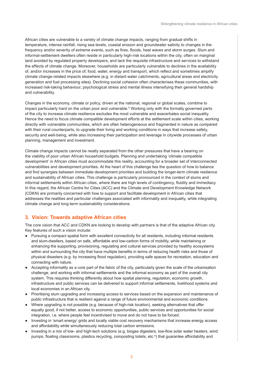ŧ

<span id="page-4-0"></span>African cities are vulnerable to a variety of climate change impacts, ranging from gradual shifts in temperature, intense rainfall, rising sea-levels, coastal erosion and groundwater salinity to changes in the frequency and/or severity of extreme events, such as fires, floods, heat waves and storm surges. Slum and informal-settlement dwellers often reside in particularly high-risk locations within the city, often on marginal land avoided by regulated property developers, and lack the requisite infrastructure and services to withstand the effects of climate change. Moreover, households are particularly vulnerable to declines in the availability of, and/or increases in the price of, food, water, energy and transport, which reflect and sometimes amplify climate change-related impacts elsewhere (e.g. in distant water catchments, agricultural areas and electricity generation and fuel processing sites). Declining social cohesion often characterises these communities, with increased risk-taking behaviour, psychological stress and mental illness intensifying their general hardship and vulnerability.

Changes in the economy, climate or policy, driven at the national, regional or global scales, combine to impact particularly hard on the urban poor and vulnerable.<sup>5</sup> Working only with the formally governed parts of the city to increase climate resilience excludes the most vulnerable and exacerbates social inequality. Hence the need to focus climate compatible development efforts at the settlement scale within cities, working directly with vulnerable communities, which are often heterogeneous and fragmented in nature as compared with their rural counterparts, to upgrade their living and working conditions in ways that increase safety, security and well-being, while also increasing their participation and leverage in citywide processes of urban planning, management and investment.

Climate change impacts cannot be neatly separated from the other pressures that have a bearing on the viability of poor urban African household budgets. Planning and undertaking 'climate compatible development' in African cities must accommodate this reality, accounting for a broader set of interconnected vulnerabilities and development priorities. At the heart of this challenge lies the question of how to balance and find synergies between immediate development priorities and building the longer-term climate resilience and sustainability of African cities. This challenge is particularly pronounced in the context of slums and informal settlements within African cities, where there are high levels of contingency, fluidity and immediacy. In this regard, the African Centre for Cities (ACC) and the Climate and Development Knowledge Network (CDKN) are primarily concerned with how to support and facilitate development in African cities that addresses the realities and particular challenges associated with informality and inequality, while integrating climate change and long-term sustainability considerations.

## **3. Vision: Towards adaptive African cities**

The core vision that ACC and CDKN are looking to develop with partners is that of the adaptive African city. Key features of such a vision include:

- Pursuing a compact spatial form with excellent connectivity for all residents, including informal residents and slum-dwellers, based on safe, affordable and low-carbon forms of mobility, while maintaining or enhancing the supporting, provisioning, regulating and cultural services provided by healthy ecosystems within and surrounding the city that have multiple benefits in terms of reducing health risks and those of physical disasters (e.g. by increasing flood regulation), providing safe spaces for recreation, education and connecting with nature.
- Accepting informality as a core part of the fabric of the city, particularly given the scale of the urbanisation challenge, and working with informal settlements and the informal economy as part of the overall city system. This requires thinking differently about how spatial planning, regulation, economic growth, infrastructure and public services can be delivered to support informal settlements, livelihood systems and local economies in an African city.
- Prioritising slum upgrading and increasing access to services based on the expansion and maintenance of public infrastructure that is resilient against a range of future environmental and economic conditions.
- Where upgrading is not possible (e.g. because of high-risk location), seeking alternatives that offer equally good, if not better, access to economic opportunities, public services and opportunities for social integration, i.e. where people feel incentivised to move and do not have to be forced.
- Investing in 'smart energy' grids and locally viable cost recovery mechanisms that increase energy access and affordability while simultaneously reducing total carbon emissions.
- Investing in a mix of low- and high-tech solutions (e.g. biogas digesters, low-flow solar water heaters, wind pumps, floating classrooms, plastics recycling, composting toilets, etc.<sup>6</sup>) that guarantee affordability and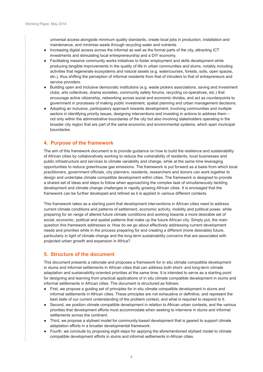<span id="page-5-0"></span>

universal access alongside minimum quality standards, create local jobs in production, installation and maintenance, and minimise waste through recycling water and nutrients.

- Increasing digital access across the informal as well as the formal parts of the city, attracting ICT investments and stimulating local entrepreneurship and a DIY economy.
- Facilitating massive community works initiatives to foster employment and skills development while producing tangible improvements in the quality of life in urban communities and slums, notably including activities that regenerate ecosystems and natural assets (e.g. watercourses, forests, soils, open spaces, etc.), thus shifting the perception of informal residents from that of intruders to that of entrepreneurs and service providers.
- Building open and inclusive democratic institutions (e.g. waste pickers associations, saving and investment clubs, arts collectives, drama societies, community safety forums, recycling co-operatives, etc.) that encourage active citizenship, networking across social and economic divides, and act as counterpoints to government in processes of making public investment, spatial planning and urban management decisions.
- Adopting an inclusive, participatory approach towards development; involving communities and multiple sectors in identifying priority issues, designing interventions and investing in actions to address them – not only within the administrative boundaries of the city but also involving stakeholders operating in the broader city region that are part of the same economic and environmental systems, which span municipal boundaries.

## **4. Purpose of the framework**

The aim of this framework document is to provide guidance on how to build the resilience and sustainability of African cities by collaboratively working to reduce the vulnerability of residents, local businesses and public infrastructure and services to climate variability and change, while at the same time leveraging opportunities to reduce greenhouse gas emissions. The framework is put forward as a basis from which local practitioners, government officials, city planners, residents, researchers and donors can work together to design and undertake climate compatible development within cities. The framework is designed to provide a shared set of ideas and steps to follow when approaching the complex task of simultaneously tackling development and climate change challenges in rapidly growing African cities. It is envisaged that the framework can be further developed and refined as it is applied in various different contexts.

This framework takes as a starting point that development interventions in African cities need to address current climate conditions and patterns of settlement, economic activity, mobility and political power, while preparing for an range of altered future climate conditions and working towards a more desirable set of social, economic, political and spatial patterns that make up the future African city. Simply put, the main question this framework addresses is: How do we go about effectively addressing current development needs and priorities while in the process preparing for and creating a different (more desirable) future, particularly in light of climate change and the long term sustainability concerns that are associated with projected urban growth and expansion in Africa?

## **5. Structure of the document**

This document presents a rationale and proposes a framework for in situ climate compatible development in slums and informal settlements in African cities that can address both short- and long-term climate adaptation and sustainability-oriented priorities at the same time. It is intended to serve as a starting point for designing and learning from practical applications of in situ climate compatible development in slums and informal settlements in African cities. The document is structured as follows:

- First, we propose a quiding set of principles for in situ climate compatible development in slums and informal settlements in African cities. These principles are not exhaustive or definitive, and represent the best state of our current understanding of the problem context, and what is required to respond to it.
- Second, we position climate compatible development in relation to African urban contexts, and the various priorities that development efforts must accommodate when seeking to intervene in slums and informal settlements across the continent.
- Third, we propose a stylised model for community-based development that is geared to support climate adaptation efforts in a broader developmental framework.
- Fourth, we conclude by proposing eight steps for applying the aforementioned stylised model to climate compatible development efforts in slums and informal settlements in African cities.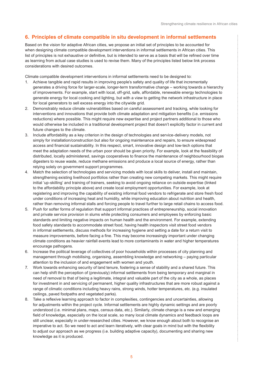## <span id="page-6-0"></span>**6. Principles of climate compatible in situ development in informal settlements**

Based on the vision for adaptive African cities, we propose an initial set of principles to be accounted for when designing climate compatible development interventions in informal settlements in African cities. This list of principles is not exhaustive or definitive, but is intended to serve as a basis that will be refined over time as learning from actual case studies is used to revise them. Many of the principles listed below link process considerations with desired outcomes.

Climate compatible development interventions in informal settlements need to be designed to:

- 1. Achieve tangible and rapid results in improving people's safety and quality of life that incrementally generates a driving force for larger-scale, longer-term transformative change – working towards a hierarchy of improvements. For example, start with local, off-grid, safe, affordable, renewable energy technologies to generate energy for local cooking and lighting, but with a view to getting the network infrastructure in place for local generators to sell excess energy into the citywide grid.
- 2. Demonstrably reduce climate vulnerabilities based on careful assessment and tracking, while looking for interventions and innovations that provide both climate adaptation and mitigation benefits (i.e. emissions reductions) where possible. This might require new expertise and project partners additional to those who would otherwise be included in a traditional development project that doesn't explicitly factor in current and future changes to the climate.
- 3. Include affordability as a key criterion in the design of technologies and service-delivery models, not simply for installation/construction but also for ongoing maintenance and repairs, to ensure widespread access and financial sustainability. In this respect, smart, innovative design and low-tech options that meet the adaptation needs of the urban poor should be given priority. For example, look at the feasibility of distributed, locally administered, savings cooperatives to finance the maintenance of neighbourhood biogas digesters to reuse waste, reduce methane emissions and produce a local source of energy, rather than relying solely on government support programmes.
- 4. Match the selection of technologies and servicing models with local skills to deliver, install and maintain, strengthening existing livelihood portfolios rather than creating new competing markets. This might require initial 'up-skilling' and training of trainers, seeking to avoid ongoing reliance on outside expertise (linked to the affordability principle above) and create local employment opportunities. For example, look at registering and improving the capability of existing informal food vendors to refrigerate and store fresh food under conditions of increasing heat and humidity, while improving education about nutrition and health, rather than removing informal stalls and forcing people to travel further to large retail chains to access food.
- 5. Push for softer forms of regulation that support informal practices of entrepreneurship, social innovation and private service provision in slums while protecting consumers and employees by enforcing basic standards and limiting negative impacts on human health and the environment. For example, extending food safety standards to accommodate street food, having health inspectors visit street food vendors in informal settlements, discuss methods for increasing hygiene and setting a date for a return visit to measure improvements, before facing a fine. This may become increasingly important under changing climate conditions as heavier rainfall events lead to more contaminants in water and higher temperatures encourage pathogens.
- 6. Increase the political leverage of collectives of poor households within processes of city planning and management through mobilising, organising, assembling knowledge and networking – paying particular attention to the inclusion of and engagement with women and youth.
- 7. Work towards enhancing security of land tenure, fostering a sense of stability and a shared future. This can help shift the perception of (previously) informal settlements from being temporary and marginal in need of removal to that of being a legitimate, integral and valuable part of the city as a whole, as places for investment in and servicing of permanent, higher quality infrastructures that are more robust against a range of climatic conditions including heavy rains, strong winds, hotter temperatures, etc. (e.g. insulated ceilings, paved footpaths and vegetated parks).
- 8. Take a reflexive learning approach to factor in complexities, contingencies and uncertainties, allowing for adjustments within the project cycle. Informal settlements are highly dynamic settings and are poorly understood (i.e. minimal plans, maps, census data, etc.). Similarly, climate change is a new and emerging field of knowledge, especially on the local scale, so many local climate dynamics and feedback loops are still unclear, especially in under-researched cities. However, we know enough about both to recognise an imperative to act. So we need to act and learn iteratively, with clear goals in mind but with the flexibility to adjust our approach as we progress (i.e. building adaptive capacity), documenting and sharing new knowledge as it is produced.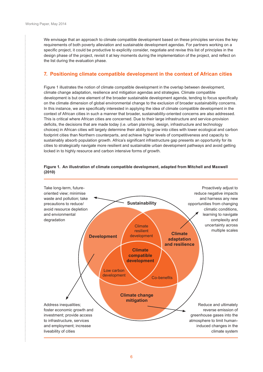<span id="page-7-0"></span>We envisage that an approach to climate compatible development based on these principles services the key requirements of both poverty alleviation and sustainable development agendas. For partners working on a specific project, it could be productive to explicitly consider, negotiate and revise this list of principles in the design phase of the project, revisit it at key moments during the implementation of the project, and reflect on the list during the evaluation phase.

## **7. Positioning climate compatible development in the context of African cities**

Figure 1 illustrates the notion of climate compatible development in the overlap between development, climate change adaptation, resilience and mitigation agendas and strategies. Climate compatible development is but one element of the broader sustainable development agenda, tending to focus specifically on the climate dimension of global environmental change to the exclusion of broader sustainability concerns. In this instance, we are specifically interested in applying the idea of climate compatible development in the context of African cities in such a manner that broader, sustainability-oriented concerns are also addressed. This is critical where African cities are concerned. Due to their large infrastructure and service-provision deficits, the decisions that are made today (i.e. urban planning, design, infrastructure and technology choices) in African cities will largely determine their ability to grow into cities with lower ecological and carbon footprint cities than Northern counterparts, and achieve higher levels of competitiveness and capacity to sustainably absorb population growth. Africa's significant infrastructure gap presents an opportunity for its cities to strategically navigate more resilient and sustainable urban development pathways and avoid getting locked in to highly resource and carbon intensive forms of growth.

#### **Figure 1. An illustration of climate compatible development, adapted from Mitchell and Maxwell (2010)**

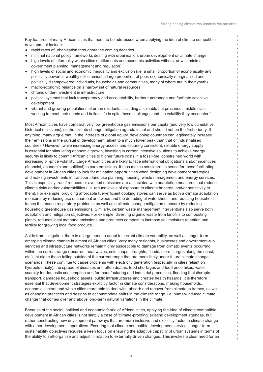Key features of many African cities that need to be addressed when applying the idea of climate compatible development include:

- rapid rates of urbanisation throughout the coming decades
- minimal national policy frameworks dealing with urbanisation, urban development or climate change
- high levels of informality within cities (settlements and economic activities without, or with minimal, government planning, management and regulation)
- high levels of social and economic inequality and exclusion (i.e. a small proportion of economically and politically powerful, wealthy elites amidst a large proportion of poor, economically marginalised and politically disempowered individuals, households and communities, many of whom are in their youth)
- macro-economic reliance on a narrow set of natural resources
- chronic under-investment in infrastructure
- political systems that lack transparency and accountability, harbour patronage and facilitate selective development
- vibrant and growing populations of urban residents, including a sizeable but precarious middle class, working to meet their needs and build a life in spite these challenges and the volatility they encounter.<sup>7</sup>

Most African cities have comparatively low greenhouse gas emissions per capita (and very low cumulative historical emissions), so the climate change mitigation agenda is not and should not be the first priority. If anything, many argue that, in the interests of global equity, developing countries can legitimately increase their emissions in the pursuit of development, albeit to a much lower peak than that of industrialised countries.<sup>8</sup> However, while increasing energy access and securing consistent, reliable energy supply is essential for stimulating economic growth, investing in carbon intensive solutions to achieve energy security is likely to commit African cities to higher future costs in a fossil-fuel constrained world with increasing oil-price volatility. Large African cities are likely to face international obligations and/or incentives (financial, economic and political) to curb emissions. It thus makes considerable sense for those facilitating development in African cities to look for mitigation opportunities when designing development strategies and making investments in transport, land use planning, housing, waste management and energy services. This is especially true if reduced or avoided emissions are associated with adaptation measures that reduce climate risks and/or vulnerabilities (i.e. reduce levels of exposure to climate hazards, and/or sensitivity to them). For example, providing affordable fuel-efficient cooking stoves can serve as both a climate adaptation measure, by reducing use of charcoal and wood and the denuding of watersheds, and reducing household fumes that cause respiratory problems, as well as a climate change mitigation measure by reducing household greenhouse gas emissions. Similarly, certain waste management interventions also serve both adaptation and mitigation objectives. For example, diverting organic waste from landfills to composting plants, reduces local methane emissions and produces compost to increase soil moisture retention and fertility for growing local food produce.

Aside from mitigation, there is a large need to adapt to current climate variability, as well as longer-term emerging climate change in almost all African cities. Very many residents, businesses and government-run services and infrastructure networks remain highly susceptible to damage from climatic events occurring within the current range (recurrent heat waves, cold snaps, droughts, floods, storm surges along the coast, etc.), let alone those falling outside of the current range that are more likely under future climate change scenarios. These continue to cause problems with electricity generation (especially in cities reliant on hydroelectricity), the spread of diseases and often deaths, food shortages and food price hikes, water scarcity for domestic consumption and for manufacturing and industrial processes, flooding that disrupts transport, damages household assets, public infrastructures and creates health hazards. It is therefore essential that development strategies explicitly factor in climate considerations, making households, economic sectors and whole cities more able to deal with, absorb and recover from climate extremes, as well as changing practices and designs to accommodate shifts in the climatic range, i.e. human-induced climate change that comes over and above long-term natural variations in the climate.

Because of the social, political and economic fabric of African cities, applying the idea of climate compatible development in African cities is not simply a case of 'climate-proofing' existing development agendas, but rather constructing new development pathways that are more inclusive and explicitly factor in climate change with other development imperatives. Ensuring that climate compatible development services longer-term sustainability objectives requires a keen focus on ensuring the adaptive capacity of urban systems in terms of the ability to self-organise and adjust in relation to externally driven changes. This invokes a clear need for an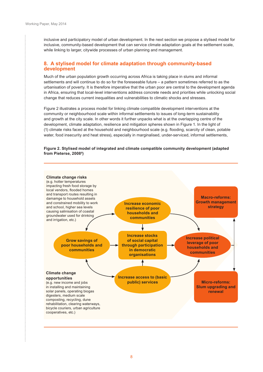÷

<span id="page-9-0"></span>inclusive and participatory model of urban development. In the next section we propose a stylised model for inclusive, community-based development that can service climate adaptation goals at the settlement scale, while linking to larger, citywide processes of urban planning and management.

## **8. A stylised model for climate adaptation through community-based development**

Much of the urban population growth occurring across Africa is taking place in slums and informal settlements and will continue to do so for the foreseeable future – a pattern sometimes referred to as the urbanisation of poverty. It is therefore imperative that the urban poor are central to the development agenda in Africa, ensuring that local-level interventions address concrete needs and priorities while unlocking social change that reduces current inequalities and vulnerabilities to climatic shocks and stresses.

Figure 2 illustrates a process model for linking climate compatible development interventions at the community or neighbourhood scale within informal settlements to issues of long-term sustainability and growth at the city scale. In other words it further unpacks what is at the overlapping centre of the development, climate adaptation, resilience and mitigation spheres shown in Figure 1. In the light of (1) climate risks faced at the household and neighbourhood scale (e.g. flooding, scarcity of clean, potable water, food insecurity and heat stress), especially in marginalised, under-serviced, informal settlements,

#### **Figure 2. Stylised model of integrated and climate compatible community development (adapted from Pieterse, 20089 )**

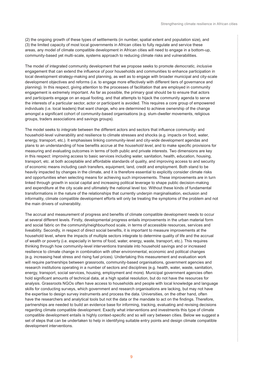İ

(2) the ongoing growth of these types of settlements (in number, spatial extent and population size), and (3) the limited capacity of most local governments in African cities to fully regulate and service these areas, any model of climate compatible development in African cities will need to engage in a bottom-up, community-based yet multi-scale, systems approach to reducing climate risks and vulnerabilities.

The model of integrated community development that we propose seeks to promote *democratic, inclusive* engagement that can extend the influence of poor households and communities to enhance participation in local development strategy-making and planning, as well as to engage with broader municipal and city-scale development objectives and reforms (i.e. to engage more effectively with different tiers of governance and planning). In this respect, giving attention to the processes of facilitation that are employed in community engagement is extremely important. As far as possible, the primary goal should be to ensure that actors and participants engage on an equal footing, and that attempts to hijack the community agenda to serve the interests of a particular sector, actor or participant is avoided. This requires a core group of empowered individuals (i.e. local leaders) that want change, who are determined to achieve ownership of the change amongst a significant cohort of community-based organisations (e.g. slum-dweller movements, religious groups, traders associations and savings groups).

The model seeks to *integrate* between the different actors and sectors that influence community- and household-level vulnerability and resilience to climate stresses and shocks (e.g. impacts on food, water, energy, transport, etc.). It emphasises linking community-level and city-wide development agendas and plans to an understanding of how benefits accrue at the *household level*, and to make specific provisions for measuring and evaluating outcomes in terms of both public and private interests. Two dimensions are key in this respect: improving access to basic services including water, sanitation, health, education, housing, transport, etc. at both acceptable and affordable standards of quality, and improving access to and security of economic means including cash transfers, equipment, land, credit and employment. Both stand to be heavily impacted by changes in the climate, and it is therefore essential to explicitly consider climate risks and opportunities when selecting means for achieving such improvements. These improvements are in turn linked through growth in social capital and increasing political leverage to shape public decision-making and expenditure at the city scale and ultimately the national level too. Without these kinds of fundamental transformations in the nature of the relationships that currently underpin marginalisation, exclusion and informality, climate compatible development efforts will only be treating the symptoms of the problem and not the main drivers of vulnerability.

The accrual and measurement of progress and benefits of climate compatible development needs to occur at several different levels. Firstly, developmental progress entails improvements in the urban material form and social fabric on the community/neighbourhood scale, in terms of accessible resources, services and liveability. Secondly, in respect of direct social benefits, it is important to measure improvements at the household level, where the impacts of multiple sectors integrate to determine quality of life and the accrual of wealth or poverty (i.e. especially in terms of food, water, energy, waste, transport, etc.). This requires thinking through how community-level interventions translate into household savings and or increased resilience to climate change in combination with other environmental, economic and political changes (e.g. increasing heat stress and rising fuel prices). Undertaking this measurement and evaluation work will require partnerships between grassroots, community-based organisations, government agencies and research institutions operating in a number of sectors and disciplines (e.g. health, water, waste, sanitation, energy, transport, social services, housing, employment and more). Municipal government agencies often hold significant amounts of technical data, at a high spatial resolution, but do not have the resources for analysis. Grassroots NGOs often have access to households and people with local knowledge and language skills for conducting surveys, which government and research organisations are lacking, but may not have the expertise to design survey instruments and process the data. Universities, on the other hand, often have the researchers and analytical tools but not the data or the mandate to act on the findings. Therefore, partnerships are needed to build an evidence base for informing, tracking, evaluating and revising decisions regarding climate compatible development. Exactly what interventions and investments this type of climate compatible development entails is highly context-specific and so will vary between cities. Below we suggest a set of steps that can be undertaken to help in identifying suitable entry points and design climate compatible development interventions.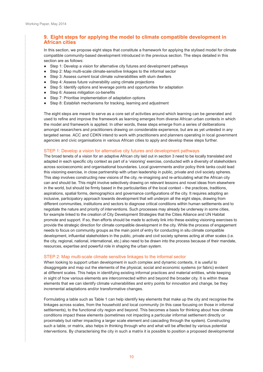<span id="page-11-0"></span>.........

 $\ddot{\cdot}$ 

## **9. Eight steps for applying the model to climate compatible development in African cities**

In this section, we propose eight steps that constitute a framework for applying the stylised model for climate compatible community-based development introduced in the previous section. The steps detailed in this section are as follows:

- Step 1: Develop a vision for alternative city futures and development pathways
- Step 2: Map multi-scale climate-sensitive linkages to the informal sector
- Step 3: Assess current local climate vulnerabilities with slum dwellers
- Step 4: Assess future vulnerability using climate projections
- Step 5: Identify options and leverage points and opportunities for adaptation
- Step 6: Assess mitigation co-benefits
- Step 7: Prioritise implementation of adaptation options
- Step 8: Establish mechanisms for tracking, learning and adjustment

The eight steps are meant to serve as a core set of activities around which learning can be generated and used to refine and improve the framework as learning emerges from diverse African urban contexts in which the model and framework is applied. In other words, these steps emerge from a series of deliberations amongst researchers and practitioners drawing on considerable experience, but are as yet untested in any targeted sense. ACC and CDKN intend to work with practitioners and planners operating in local government agencies and civic organisations in various African cities to apply and develop these steps further.

#### STEP 1: Develop a vision for alternative city futures and development pathways

The broad tenets of a vision for an adaptive African city laid out in section 3 need to be locally translated and adapted in each specific city context as part of a 'visioning' exercise, conducted with a diversity of stakeholders across socioeconomic and organisational boundaries. Local governments and/or policy think tanks could lead this visioning exercise, in close partnership with urban leadership in public, private and civil society spheres. This step involves constructing new visions of the city, re-imagining and re-articulating what the African city can and should be. This might involve selectively drawing on relevant lessons and novel ideas from elsewhere in the world, but should be firmly based in the particularities of the local context – the practices, traditions, aspirations, spatial forms, demographics and governance configurations of the city. It requires adopting an inclusive, participatory approach towards development that will underpin all the eight steps, drawing from different communities, institutions and sectors to diagnose critical conditions within human settlements and to negotiate the nature and priority of interventions. Such processes may already be underway in some cities, for example linked to the creation of City Development Strategies that the Cities Alliance and UN Habitat promote and support. If so, then efforts should be made to actively link into these existing visioning exercises to provide the strategic direction for climate compatible development in the city. While the process of engagement needs to focus on community groups as the main point of entry for conducting in situ climate compatible development, influential stakeholders in the public, private and civil society spheres acting at other scales (i.e. the city, regional, national, international, etc.) also need to be drawn into the process because of their mandate, resources, expertise and powerful role in shaping the urban system.

#### STEP 2: Map multi-scale climate sensitive linkages to the informal sector

When looking to support urban development in such complex and dynamic contexts, it is useful to disaggregate and map out the elements of the physical, social and economic systems (or fabric) evident at different scales. This helps in identifying existing informal practices and material entities, while keeping in sight of how various elements are interconnected within and beyond the broader city. It is within these elements that we can identify climate vulnerabilities and entry points for innovation and change, be they incremental adaptations and/or transformative changes.

Formulating a table such as Table 1 can help identify key elements that make up the city and recognise the linkages across scales, from the household and local community (in this case focusing on those in informal settlements), to the functional city region and beyond. This becomes a basis for thinking about how climate conditions impact these elements (sometimes not impacting a particular informal settlement directly or proximately but rather impacting a larger scale element and cascading through the system). Constructing such a table, or matrix, also helps in thinking through who and what will be affected by various potential interventions. By characterising the city in such a matrix it is possible to position a proposed developmental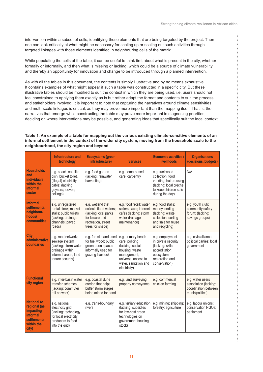İ

intervention within a subset of cells, identifying those elements that are being targeted by the project. Then one can look critically at what might be necessary for scaling up or scaling out such activities through targeted linkages with those elements identified in neighbouring cells of the matrix.

While populating the cells of the table, it can be useful to think first about what is present in the city, whether formally or informally, and then what is missing or lacking, which could be a source of climate vulnerability and thereby an opportunity for innovation and change to be introduced through a planned intervention.

As with all the tables in this document, the contents is simply illustrative and by no means exhaustive. It contains examples of what might appear if such a table was constructed in a specific city. But these illustrative tables should be modified to suit the context in which they are being used, i.e. users should not feel constrained to applying them exactly as is but rather adapt the format and contents to suit the process and stakeholders involved. It is important to note that capturing the narratives around climate sensitivities and multi-scale linkages is critical, as they may prove more important than the mapping itself. That is, the narratives that emerge while constructing the table may prove more important in diagnosing priorities, deciding on where interventions may be possible, and generating ideas that specifically suit the local context.

#### **Table 1. An example of a table for mapping out the various existing climate-sensitive elements of an informal settlement in the context of the wider city system, moving from the household scale to the neighbourhood, the city region and beyond**

|                                                                                                          | Infrastructure and<br>technology                                                                                            | <b>Ecosystems (green</b><br>infrastructure)                                                                                      | <b>Services</b>                                                                                                                                            | <b>Economic activities /</b><br>livelihoods                                                                                       | <b>Organisations</b><br>(decisions, budgets)                                         |
|----------------------------------------------------------------------------------------------------------|-----------------------------------------------------------------------------------------------------------------------------|----------------------------------------------------------------------------------------------------------------------------------|------------------------------------------------------------------------------------------------------------------------------------------------------------|-----------------------------------------------------------------------------------------------------------------------------------|--------------------------------------------------------------------------------------|
| <b>Households</b><br>and<br><b>individuals</b><br>within the<br>informal<br>sector                       | e.g. shack, satellite<br>dish, bucket toilet,<br>(illegal) electricity<br>cable; (lacking:<br>geysers; stoves;<br>ceilings) | e.g. food garden<br>(lacking: rainwater<br>harvesting)                                                                           | e.g. home-based<br>care; carpentry                                                                                                                         | e.g. fuel wood<br>collection: food<br>vending; hairdressing<br>(lacking: local crèche<br>to keep children safe<br>during the day) | N/A                                                                                  |
| <b>Informal</b><br>settlements/<br>neighbour-<br>hoods/<br>communities                                   | e.g. unregistered<br>rental stock; market<br>stalls; public toilets<br>(lacking: drainage<br>channels; paved<br>roads)      | e.g. wetland that<br>collects flood waters;<br>(lacking local parks<br>for leisure and<br>recreation, street<br>trees for shade) | e.g. food retail; water<br>sellers; taxis; internet<br>cafes (lacking: storm<br>water drainage<br>maintenance)                                             | e.g. food stalls;<br>money lending<br>(lacking: waste<br>collection, sorting<br>and sale for reuse<br>and recycling)              | e.g. youth club;<br>community safety<br>forum; (lacking:<br>savings groups)          |
| <b>City</b><br>administrative<br>boundaries                                                              | e.g. road network;<br>sewage system<br>(lacking: storm water<br>drainage within<br>informal areas, land<br>tenure security) | e.g. forest stand used<br>for fuel wood; public<br>green open spaces<br>informally used for<br>grazing livestock                 | e.g. primary health<br>care; policing<br>(lacking: social<br>housing; waste<br>management;<br>universal access to<br>water, sanitation and<br>electricity) | e.g. employment<br>in private security<br>(lacking: skills)<br>accreditation;<br>ecosystem<br>restoration and<br>conservation)    | e.g. civic alliance;<br>political parties; local<br>government                       |
| <b>Functional</b><br>city region                                                                         | e.g. inter-basin water<br>transfer schemes<br>(lacking: commuter<br>rail network)                                           | e.g. coastal dune<br>cordon that helps<br>buffer storm surges<br>being mined for sand                                            | e.g. land surveying;<br>property conveyance                                                                                                                | e.g. commercial<br>chicken farming                                                                                                | e.g. water users<br>association (lacking:<br>coordination between<br>municipalities) |
| <b>National to</b><br>regional (as<br>impacting<br>informal<br><b>settlements</b><br>within the<br>city) | e.g. national<br>electricity grid<br>(lacking: technology<br>for local electricity<br>producers to feed<br>into the grid)   | e.g. trans-boundary<br>rivers                                                                                                    | e.g. tertiary education<br>(lacking: subsidies<br>for low-cost green<br>technologies on<br>government housing<br>stock)                                    | e.g. mining; shipping;<br>forestry; agriculture                                                                                   | e.g. labour unions:<br>conservation NGOs;<br>parliament                              |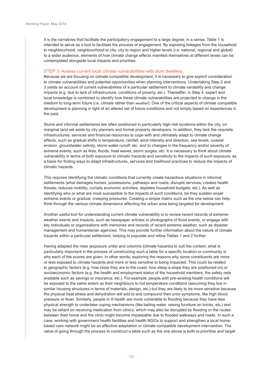$\ddot{\cdot}$ 

<span id="page-13-0"></span>It is the narratives that facilitate the participatory engagement to a large degree; in a sense, Table 1 is intended to serve as a tool to facilitate the process of engagement. By exposing linkages from the household to neighbourhood, neighbourhood to city, city to region and higher levels (i.e. national, regional and global) to a wider audience, elements of how climate change effects manifest themselves at different levels can be contemplated alongside local impacts and priorities.

#### STEP 3: Assess current local climate vulnerabilities with slum dwellers

Because we are focusing on *climate* compatible development, it is necessary to give explicit consideration to climate vulnerabilities and potential opportunities when planning interventions. Undertaking Step 2 and 3 yields an account of current vulnerabilities of a particular settlement to climate variability and change impacts (e.g. due to lack of infrastructure, conditions of poverty, etc.). Thereafter, in Step 4, expert and local knowledge is combined to identify how these climate vulnerabilities are projected to change in the medium to long-term future (i.e. *climate* rather than *weather*). One of the critical aspects of climate compatible development is planning in light of an altered set of future conditions and not simply based on experiences in the past.

Slums and informal settlements are often positioned in particularly high-risk locations within the city, on marginal land set aside by city planners and formal property developers. In addition, they lack the requisite infrastructures, services and financial resources to cope with and ultimately adapt to climate change effects, such as gradual shifts in temperature, rainfall, wind intensity and direction, sea levels, coastal erosion, groundwater salinity, storm-water runoff, etc. and to changes in the frequency and/or severity of extreme events, such as fires, floods, heat waves, storm surges, etc. It is necessary to think about climate vulnerability in terms of both *exposure* to climatic hazards and *sensitivity* to the impacts of such exposure, as a basis for finding ways to adapt infrastructures, services and livelihood practices to reduce the impacts of climatic hazards.

This requires identifying the climatic conditions that currently create hazardous situations in informal settlements (what damages homes, possessions, pathways and roads; disrupts services; creates health threats; reduces mobility; curtails economic activities; depletes household budgets; etc.). As well as identifying who or what are most susceptible to the impacts of such conditions, be they sudden-onset extreme events or gradual, creeping pressures. Creating a simple matrix such as the one below can help think through the various climate dimensions affecting the urban area being targeted for development.

Another useful tool for understanding current climate vulnerability is to review recent records of extremeweather events and impacts, such as newspaper articles or photographs of flood events, or engage with key individuals or organisations with memories and records of recent extreme weather, such as disaster management and humanitarian agencies. This may provide further information about the nature of climate hazards within a particular settlement, helping to populate and refine Tables 1 and 2 further.

Having adapted the rows (exposure units) and columns (climate hazards) to suit the context, what is particularly important in the process of constructing such a table for a specific location or community is why each of the scores are given. In other words, exploring the reasons *why* some constituents are more or less exposed to climate hazards and more or less sensitive to being impacted. This could be related to geographic factors (e.g. how close they are to the coast, how steep a slope they are positioned on) or socioeconomic factors (e.g. the health and employment status of the household members, the safety nets available such as savings or insurance, etc.). For example, people with pre-existing health conditions will be exposed to the same extent as their neighbours to hot temperature conditions (assuming they live in similar housing structures in terms of materials, design, etc.) but they are likely to be more sensitive because the physical heat stress and dehydration will add to and compound their prior symptoms, like high blood pressure or fever. Similarly, people in ill health are more vulnerable to flooding because they have less physical strength to undertake coping mechanisms (like bailing water, raising furniture on bricks, etc.) and may be reliant on receiving medication from clinics, which may also be disrupted by flooding or the routes between their home and the clinic might become impassable due to flooded walkways and roads. In such a case, working with government health facilities and health NGOs to support and strengthen a local homebased care network might be an effective adaptation or climate compatible development intervention. The value of going through the process to construct a table such as the one above is both to prioritise and target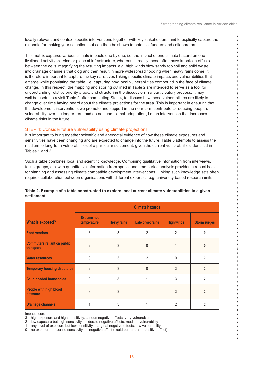ŧ

<span id="page-14-0"></span>locally relevant and context specific interventions together with key stakeholders, and to explicitly capture the rationale for making your selection that can then be shown to potential funders and collaborators.

This matrix captures various climate impacts one by one, i.e. the impact of one climate hazard on one livelihood activity, service or piece of infrastructure, whereas in reality these often have knock-on effects between the cells, magnifying the resulting impacts, e.g. high winds blow sandy top soil and solid waste into drainage channels that clog and then result in more widespread flooding when heavy rains come. It is therefore important to capture the key narratives linking specific climate impacts and vulnerabilities that emerge while populating the table, i.e. capturing how local vulnerabilities compound in the face of climate change. In this respect, the mapping and scoring outlined in Table 2 are intended to serve as a tool for understanding relative priority areas, and structuring the discussion in a participatory process. It may well be useful to revisit Table 2 after completing Step 4, to discuss how these vulnerabilities are likely to change over time having heard about the climate projections for the area. This is important in ensuring that the development interventions we promote and support in the near-term contribute to reducing people's vulnerability over the longer-term and do not lead to 'mal-adaptation', i.e. an intervention that increases climate risks in the future.

#### STEP 4: Consider future vulnerability using climate projections

It is important to bring together scientific and anecdotal evidence of how these climate exposures and sensitivities have been changing and are expected to change into the future. Table 3 attempts to assess the medium to long-term vulnerabilities of a particular settlement, given the current vulnerabilities identified in Tables 1 and 2.

Such a table combines local and scientific knowledge. Combining qualitative information from interviews, focus groups, etc. with quantitative information from spatial and time-series analysis provides a robust basis for planning and assessing climate compatible development interventions. Linking such knowledge sets often requires collaboration between organisations with different expertise, e.g. university-based research units

|                                                 | <b>Climate hazards</b>            |                    |                  |                   |                     |
|-------------------------------------------------|-----------------------------------|--------------------|------------------|-------------------|---------------------|
| <b>What is exposed?</b>                         | <b>Extreme hot</b><br>temperature | <b>Heavy rains</b> | Late onset rains | <b>High winds</b> | <b>Storm surges</b> |
| <b>Food vendors</b>                             | 3                                 | 3                  | $\overline{2}$   | $\overline{2}$    | $\Omega$            |
| <b>Commuters reliant on public</b><br>transport | $\mathfrak{D}$                    | 3                  | $\Omega$         |                   | <sup>0</sup>        |
| <b>Water resources</b>                          | 3                                 | 3                  | $\mathfrak{D}$   | $\Omega$          | $\mathfrak{p}$      |
| <b>Temporary housing structures</b>             | $\mathfrak{p}$                    | 3                  | $\Omega$         | 3                 | $\mathfrak{D}$      |
| <b>Child-headed households</b>                  | $\overline{2}$                    | 3                  |                  | 3                 | $\overline{2}$      |
| People with high blood<br>pressure              | 3                                 | 3                  |                  | 3                 | $\mathfrak{p}$      |
| <b>Drainage channels</b>                        |                                   | 3                  |                  | 2                 | 2                   |

#### **Table 2. Example of a table constructed to explore local current climate vulnerabilities in a given settlement**

Impact score

3 = high exposure and high sensitivity, serious negative effects, very vulnerable

2 = low exposure but high sensitivity, moderate negative effects, medium vulnerability

1 = any level of exposure but low sensitivity, marginal negative effects, low vulnerability

 $0 =$  no exposure and/or no sensitivity, no negative effect (could be neutral or positive effect)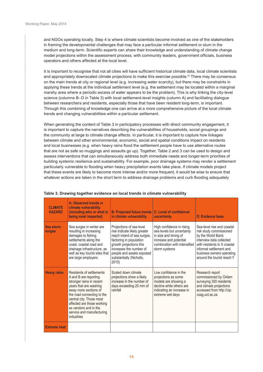$\ddot{\cdot}$ 

<span id="page-15-0"></span>and NGOs operating locally. Step 4 is where climate scientists become involved as one of the stakeholders in framing the developmental challenges that may face a particular informal settlement or slum in the medium and long-term. Scientific experts can share their knowledge and understanding of climate change model projections within the assessment process, with community leaders, government officials, business operators and others affected at the local level.

It is important to recognise that not all cities will have sufficient historical climate data, local climate scientists and appropriately downscaled climate projections to make this exercise possible.<sup>10</sup> There may be consensus on the main trends at city or regional level (e.g. increasing water scarcity), but there may be constraints in applying these trends at the individual settlement level (e.g. the settlement may be located within a marginal marshy area where a periodic excess of water appears to be the problem). This is why linking the city-level science (columns B–D in Table 3) with local settlement-level insights (column A) and facilitating dialogue between researchers and residents, especially those that have been resident long-term, is important. Through this combining of knowledge one can arrive at a more comprehensive picture of the local climate trends and changing vulnerabilities within a particular settlement.

When generating the content of Table 3 in participatory processes with direct community engagement, it is important to capture the narratives describing the vulnerabilities of households, social groupings and the community at large to climate change effects. In particular, it is important to capture how linkages between climate and other environmental, economic, social and spatial conditions impact on residents and local businesses (e.g. when heavy rains flood the settlement people have to use alternative routes that are not as safe so muggings and assaults go up). Together, Table 2 and 3 can be used to design and assess interventions that can simultaneously address both immediate needs and longer-term priorities of building systemic resilience and sustainability. For example, poor drainage systems may render a settlement particularly vulnerable to flooding when heavy precipitation events take place. If climate models project that these events are likely to become more intense and/or more frequent, it would be wise to ensure that whatever actions are taken in the short term to address drainage problems and curb flooding adequately

| <b>CI IMATE</b><br><b>HAZARD</b> | A: Observed trends in<br>climate vulnerability<br>(including who or what is<br>being most impacted)                                                                                                                                                                                          | <b>B: Projected future trends</b><br>in climate vulnerability                                                                                                                                                                              | C: Level of confidence/<br>uncertainty                                                                                                                      | D: Evidence base                                                                                                                                                                                                              |
|----------------------------------|----------------------------------------------------------------------------------------------------------------------------------------------------------------------------------------------------------------------------------------------------------------------------------------------|--------------------------------------------------------------------------------------------------------------------------------------------------------------------------------------------------------------------------------------------|-------------------------------------------------------------------------------------------------------------------------------------------------------------|-------------------------------------------------------------------------------------------------------------------------------------------------------------------------------------------------------------------------------|
| Sea storm<br><b>surges</b>       | Sea surges in winter are<br>resulting in increasing<br>damages to fishing<br>settlements along the<br>coast, coastal road and<br>drainage infrastructure, as<br>well as key tourist sites that<br>are large employers                                                                        | Projections of sea level<br>rise indicate likely greater<br>reach inland of sea surges,<br>factoring in population<br>growth projections this<br>increases the number of<br>people and assets exposed<br>substantially (Nicholls,<br>2010) | High confidence in rising<br>sea levels but uncertainty<br>in size and timing of<br>increase and potential<br>combination with intensified<br>storm systems | Sea-level rise and coastal<br>risk study commissioned<br>by the World Bank;<br>interview data collected<br>with residents in X coastal<br>informal settlement and<br>business owners operating<br>around the tourist resort Y |
| <b>Heavy rains</b>               | Residents of settlements<br>A and B are reporting<br>stronger rains in recent<br>years that are washing<br>away more sections of<br>the road connecting to the<br>central city. Those most<br>affected are those working<br>as vendors and in the<br>service and manufacturing<br>industries | Scaled down climate<br>projections show a likely<br>increase in the number of<br>days exceeding 20 mm of<br>rainfall                                                                                                                       | Low confidence in the<br>projections as some<br>models are showing a<br>decline while others are<br>indicating an increase in<br>extreme wet days           | Research report<br>commissioned by Oxfam<br>surveying 300 residents<br>and climate projections<br>accessed from http://cip.<br>csag.uct.ac.za                                                                                 |
| <b>Extreme heat</b>              |                                                                                                                                                                                                                                                                                              |                                                                                                                                                                                                                                            |                                                                                                                                                             |                                                                                                                                                                                                                               |

#### **Table 3. Drawing together evidence on local trends in climate vulnerability**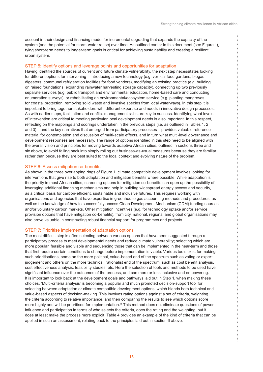$\begin{array}{c} \bullet & \bullet & \bullet \\ \bullet & \bullet & \bullet \\ \bullet & \bullet & \bullet \end{array}$ 

<span id="page-16-0"></span>account in their design and financing model for incremental upgrading that expands the capacity of the system (and the potential for storm-water reuse) over time. As outlined earlier in this document (see Figure 1), tying short-term needs to longer-term goals is critical for achieving sustainability and creating a resilient urban system.

#### STEP 5: Identify options and leverage points and opportunities for adaptation

Having identified the sources of current and future climate vulnerability, the next step necessitates looking for different options for intervening – introducing a new technology (e.g. vertical food gardens, biogas digesters, communal refrigeration facilities for food vendors), modifying an existing practice (e.g. building on raised foundations, expanding rainwater harvesting storage capacity), connecting up two previously separate services (e.g. public transport and environmental education, home-based care and conducting enumeration surveys), or rehabilitating an environmental/ecosystem service (e.g. planting mangroves for coastal protection, removing solid waste and invasive species from local waterways). In this step it is important to bring together stakeholders with different expertise and needs in innovative design processes. As with earlier steps, facilitation and conflict-management skills are key to success. Identifying what levels of intervention are critical to meeting particular local development needs is also important. In this respect, reflecting on the mappings and scorings undertaken in the previous steps (i.e. as outlined in Tables 1, 2 and 3) – and the key narratives that emerged from participatory processes – provides valuable reference material for contemplation and discussion of multi-scale effects, and in turn what multi-level governance and development responses are necessary. The range of options identified in this step need to be aligned with the overall vision and principles for moving towards adaptive African cities, outlined in sections three and six above, to avoid falling back into simply rolling out business-as-usual measures because they are familiar rather than because they are best suited to the local context and evolving nature of the problem.

#### STEP 6: Assess mitigation co-benefits

As shown in the three overlapping rings of Figure 1, climate compatible development involves looking for interventions that give rise to both adaptation and mitigation benefits where possible. While adaptation is the priority in most African cities, screening options for mitigation co-benefits can open up the possibility of leveraging additional financing mechanisms and help in building widespread energy access and security, as a critical basis for carbon-efficient, sustainable and inclusive futures. This requires working with organisations and agencies that have expertise in greenhouse gas accounting methods and procedures, as well as the knowledge of how to successfully access Clean Development Mechanism (CDM) funding sources and/or voluntary carbon markets. Other mitigation incentives (e.g. for technology uptake and/or service provision options that have mitigation co-benefits), from city, national, regional and global organisations may also prove valuable in constructing robust financial support for programmes and projects.

#### STEP 7: Prioritise implementation of adaptation options

The most difficult step is often selecting between various options that have been suggested through a participatory process to meet developmental needs and reduce climate vulnerability; selecting which are more popular, feasible and viable and sequencing those that can be implemented in the near-term and those that first require certain conditions to change before implementation is viable. Various tools exist for making such prioritisations, some on the more political, value-based end of the spectrum such as voting or expert judgement and others on the more technical, rationalist end of the spectrum, such as cost benefit analysis, cost effectiveness analysis, feasibility studies, etc. Here the selection of tools and methods to be used have significant influence over the outcomes of the process, and can more or less inclusive and empowering. It is important to look back at the development goals and pathways laid out in Step 1, when making these choices. 'Multi-criteria analysis' is becoming a popular and much promoted decision-support tool for selecting between adaptation or climate compatible development options, which blends both technical and value-based aspects of decision-making. This involves rating options against a set of criteria, weighting the criteria according to relative importance, and then comparing the results to see which options score more highly and will be prioritised for implementation.<sup>11</sup> This method does not eliminate questions of power, influence and participation in terms of who selects the criteria, does the rating and the weighting, but it does at least make the process more explicit. Table 4 provides an example of the kind of criteria that can be applied in such an assessment, relating back to the principles laid out in section 6 above.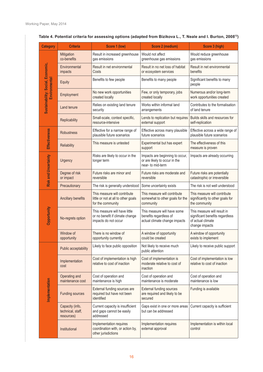$\mu$ 

| <b>Category</b>                   | <b>Criteria</b>                                    | Score 1 (low)                                                                            | Score 2 (medium)                                                                       | Score 3 (high)                                                                                        |
|-----------------------------------|----------------------------------------------------|------------------------------------------------------------------------------------------|----------------------------------------------------------------------------------------|-------------------------------------------------------------------------------------------------------|
|                                   | Mitigation<br>co-benefits                          | Result in increased greenhouse<br>gas emissions                                          | Would not affect<br>greenhouse gas emissions                                           | Would reduce greenhouse<br>gas emissions                                                              |
|                                   | Environmental<br>impacts                           | Result in net environmental<br>Costs                                                     | Result in no net loss of habitat<br>or ecosystem services                              | Result in net environmental<br>benefits                                                               |
| Environmental                     | Equity                                             | Benefits to few people                                                                   | Benefits to many people                                                                | Significant benefits to many<br>people                                                                |
|                                   | Employment                                         | No new work opportunities<br>created locally                                             | Few, or only temporary, jobs<br>created locally                                        | Numerous and/or long-term<br>work opportunities created                                               |
| Sustainability: Social, Economic, | Land tenure                                        | Relies on existing land tenure<br>security                                               | Works within informal land<br>arrangements                                             | Contributes to the formalisation<br>of land tenure                                                    |
|                                   | Replicability                                      | Small-scale, context specific,<br>resource-intensive                                     | Lends to replication but requires<br>external support                                  | Builds skills and resources for<br>self-replication                                                   |
| <b>Effectiveness</b>              | <b>Robustness</b>                                  | Effective for a narrow range of<br>plausible future scenarios                            | Effective across many plausible<br>future scenarios                                    | Effective across a wide range of<br>plausible future scenarios                                        |
|                                   | Reliability                                        | This measure is untested                                                                 | Experimental but has expert<br>support                                                 | The effectiveness of this<br>measure is proven                                                        |
| <b>Risk and Uncertainty</b>       | <b>Urgency</b>                                     | Risks are likely to occur in the<br>longer term                                          | Impacts are beginning to occur,<br>or are likely to occur in the<br>near- to mid-term  | Impacts are already occurring                                                                         |
|                                   | Degree of risk<br>or impact                        | Future risks are minor and<br>reversible                                                 | Future risks are moderate and<br>reversible                                            | Future risks are potentially<br>catastrophic or irreversible                                          |
|                                   | Precautionary                                      | The risk is generally understood                                                         | Some uncertainty exists                                                                | The risk is not well understood                                                                       |
|                                   | Ancillary benefits                                 | This measure will contribute<br>little or not at all to other goals<br>for the community | This measure will contribute<br>somewhat to other goals for the<br>community           | This measure will contribute<br>significantly to other goals for<br>the community                     |
| Opportunity                       | No-regrets option                                  | This measure will have little<br>or no benefit if climate change<br>impacts do not occur | This measure will have some<br>benefits regardless of<br>actual climate change impacts | This measure will result in<br>significant benefits regardless<br>of actual climate<br>change impacts |
|                                   | Window of<br>opportunity                           | There is no window of<br>opportunity currently                                           | A window of opportunity<br>could be created                                            | A window of opportunity<br>exists to implement                                                        |
|                                   | Public acceptability                               | Likely to face public opposition                                                         | Not likely to receive much<br>public attention                                         | Likely to receive public support                                                                      |
|                                   | Implementation<br>cost                             | Cost of implementation is high<br>relative to cost of inaction                           | Cost of implementation is<br>moderate relative to cost of<br>inaction                  | Cost of implementation is low<br>relative to cost of inaction                                         |
|                                   | Operating and<br>maintenance cost                  | Cost of operation and<br>maintenance is high                                             | Cost of operation and<br>maintenance is moderate                                       | Cost of operation and<br>maintenance is low                                                           |
| Implementation                    | <b>Funding sources</b>                             | External funding sources are<br>required but have not been<br>identified                 | <b>External funding sources</b><br>are required and likely to be<br>secured            | Funding is available                                                                                  |
|                                   | Capacity (info,<br>technical, staff,<br>resources) | Current capacity is insufficient<br>and gaps cannot be easily<br>addressed               | Gaps exist in one or more areas<br>but can be addressed                                | Current capacity is sufficient                                                                        |
|                                   | Institutional                                      | Implementation requires<br>coordination with, or action by,<br>other jurisdictions       | Implementation requires<br>external approval                                           | Implementation is within local<br>control                                                             |

## **Table 4. Potential criteria for assessing options (adapted from Bizikova L., T. Neale and I. Burton, 200812)**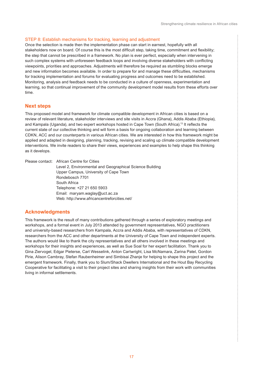ŧ

#### <span id="page-18-0"></span>STEP 8: Establish mechanisms for tracking, learning and adjustment

Once the selection is made then the implementation phase can start in earnest, hopefully with all stakeholders now on board. Of course this is the most difficult step, taking time, commitment and flexibility; the step that cannot be prescribed in a framework. No plan is ever perfect, especially when intervening in such complex systems with unforeseen feedback loops and involving diverse stakeholders with conflicting viewpoints, priorities and approaches. Adjustments will therefore be required as stumbling blocks emerge and new information becomes available. In order to prepare for and manage these difficulties, mechanisms for tracking implementation and forums for evaluating progress and outcomes need to be established. Monitoring, analysis and feedback needs to be conducted in a culture of openness, experimentation and learning, so that continual improvement of the community development model results from these efforts over time.

#### **Next steps**

This proposed model and framework for climate compatible development in African cities is based on a review of relevant literature, stakeholder interviews and site visits in Accra (Ghana), Addis Ababa (Ethiopia), and Kampala (Uganda), and two expert workshops hosted in Cape Town (South Africa).<sup>13</sup> It reflects the current state of our collective thinking and will form a basis for ongoing collaboration and learning between CDKN, ACC and our counterparts in various African cities. We are interested in how this framework might be applied and adapted in designing, planning, tracking, revising and scaling up climate compatible development interventions. We invite readers to share their views, experiences and examples to help shape this thinking as it develops.

Please contact: African Centre for Cities Level 2, Environmental and Geographical Science Building Upper Campus, University of Cape Town Rondebosch 7701 South Africa Telephone: +27 21 650 5903 Email: maryam.waglay@uct.ac.za Web: http://www.africancentreforcities.net/

#### **Acknowledgments**

This framework is the result of many contributions gathered through a series of exploratory meetings and workshops, and a formal event in July 2013 attended by government representatives, NGO practitioners and university-based researchers from Kampala, Accra and Addis Ababa, with representatives of CDKN, researchers from the ACC and other departments at the University of Cape Town and independent experts. The authors would like to thank the city representatives and all others involved in these meetings and workshops for their insights and experiences, as well as Sue Soal for her expert facilitation. Thank you to Gina Ziervogel, Edgar Pieterse, Carl Wesselink, Anton Cartwright, Lisa McNamara, Zarina Patel, Gordon Pirie, Alison Cambray, Stefan Raubenheimer and Simbisai Zhanje for helping to shape this project and the emergent framework. Finally, thank you to Slum/Shack Dwellers International and the Hout Bay Recycling Cooperative for facilitating a visit to their project sites and sharing insights from their work with communities living in informal settlements.